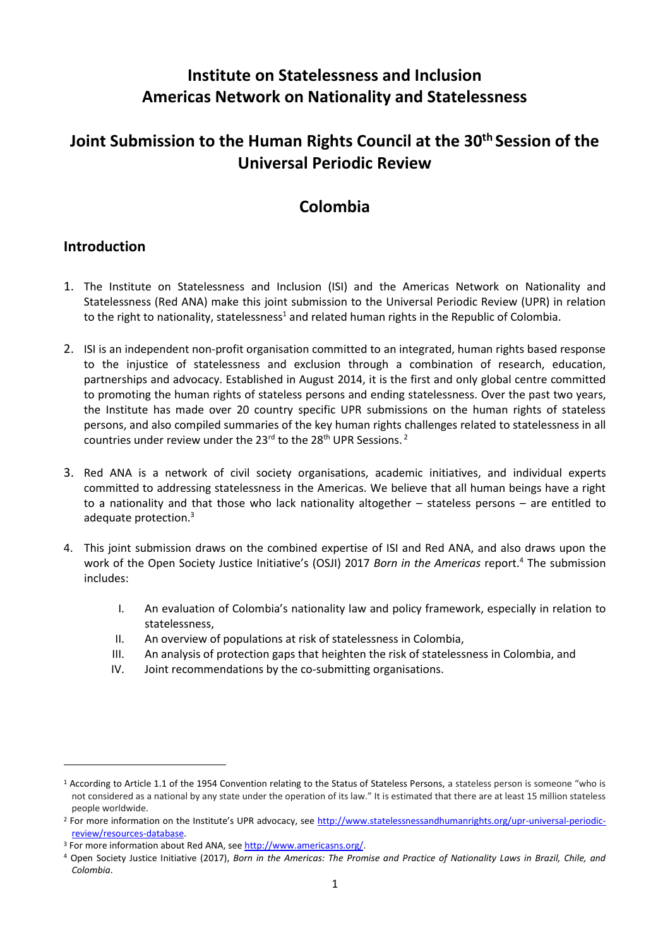# **Institute on Statelessness and Inclusion Americas Network on Nationality and Statelessness**

# **Joint Submission to the Human Rights Council at the 30th Session of the Universal Periodic Review**

### **Colombia**

#### **Introduction**

- 1. The Institute on Statelessness and Inclusion (ISI) and the Americas Network on Nationality and Statelessness (Red ANA) make this joint submission to the Universal Periodic Review (UPR) in relation to the right to nationality, statelessness<sup>1</sup> and related human rights in the Republic of Colombia.
- 2. ISI is an independent non-profit organisation committed to an integrated, human rights based response to the injustice of statelessness and exclusion through a combination of research, education, partnerships and advocacy. Established in August 2014, it is the first and only global centre committed to promoting the human rights of stateless persons and ending statelessness. Over the past two years, the Institute has made over 20 country specific UPR submissions on the human rights of stateless persons, and also compiled summaries of the key human rights challenges related to statelessness in all countries under review under the 23<sup>rd</sup> to the 28<sup>th</sup> UPR Sessions.<sup>2</sup>
- 3. Red ANA is a network of civil society organisations, academic initiatives, and individual experts committed to addressing statelessness in the Americas. We believe that all human beings have a right to a nationality and that those who lack nationality altogether – stateless persons – are entitled to adequate protection.<sup>3</sup>
- 4. This joint submission draws on the combined expertise of ISI and Red ANA, and also draws upon the work of the Open Society Justice Initiative's (OSJI) 2017 *Born in the Americas* report.<sup>4</sup> The submission includes:
	- I. An evaluation of Colombia's nationality law and policy framework, especially in relation to statelessness,
	- II. An overview of populations at risk of statelessness in Colombia,
	- III. An analysis of protection gaps that heighten the risk of statelessness in Colombia, and
	- IV. Joint recommendations by the co-submitting organisations.

<sup>&</sup>lt;sup>1</sup> According to Article 1.1 of the 1954 Convention relating to the Status of Stateless Persons, a stateless person is someone "who is not considered as a national by any state under the operation of its law." It is estimated that there are at least 15 million stateless people worldwide.

<sup>&</sup>lt;sup>2</sup> For more information on the Institute's UPR advocacy, see [http://www.statelessnessandhumanrights.org/upr-universal-periodic](http://www.institutesi.org/ourwork/humanrights.php)[review/resources-database.](http://www.institutesi.org/ourwork/humanrights.php)

<sup>3</sup> For more information about Red ANA, se[e http://www.americasns.org/.](http://www.americasns.org/)

<sup>4</sup> Open Society Justice Initiative (2017), *Born in the Americas: The Promise and Practice of Nationality Laws in Brazil, Chile, and Colombia*.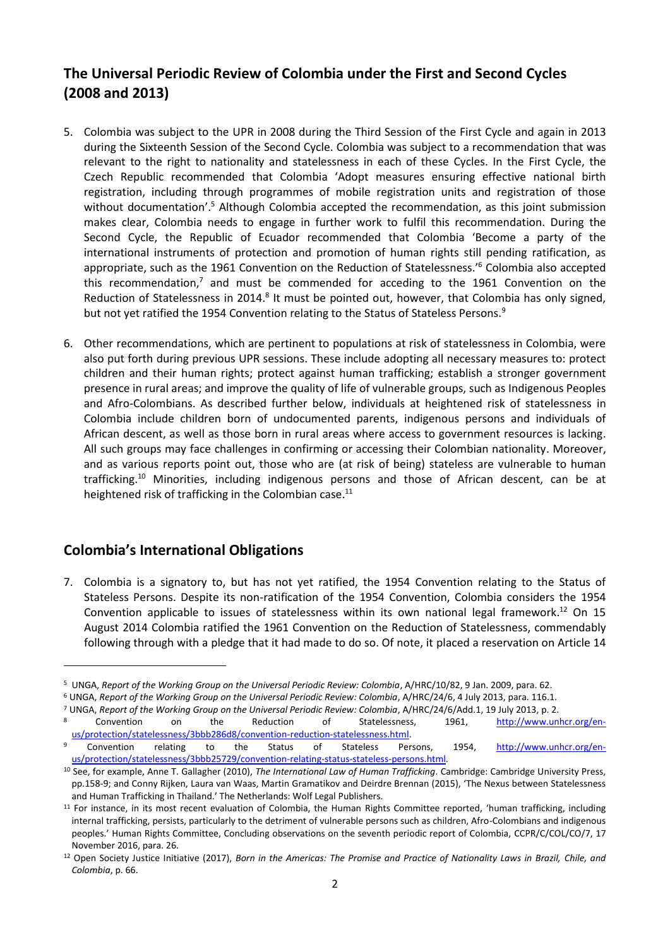### **The Universal Periodic Review of Colombia under the First and Second Cycles (2008 and 2013)**

- 5. Colombia was subject to the UPR in 2008 during the Third Session of the First Cycle and again in 2013 during the Sixteenth Session of the Second Cycle. Colombia was subject to a recommendation that was relevant to the right to nationality and statelessness in each of these Cycles. In the First Cycle, the Czech Republic recommended that Colombia 'Adopt measures ensuring effective national birth registration, including through programmes of mobile registration units and registration of those without documentation'.<sup>5</sup> Although Colombia accepted the recommendation, as this joint submission makes clear, Colombia needs to engage in further work to fulfil this recommendation. During the Second Cycle, the Republic of Ecuador recommended that Colombia 'Become a party of the international instruments of protection and promotion of human rights still pending ratification, as appropriate, such as the 1961 Convention on the Reduction of Statelessness.<sup>16</sup> Colombia also accepted this recommendation,<sup>7</sup> and must be commended for acceding to the 1961 Convention on the Reduction of Statelessness in 2014.<sup>8</sup> It must be pointed out, however, that Colombia has only signed, but not yet ratified the 1954 Convention relating to the Status of Stateless Persons.<sup>9</sup>
- 6. Other recommendations, which are pertinent to populations at risk of statelessness in Colombia, were also put forth during previous UPR sessions. These include adopting all necessary measures to: protect children and their human rights; protect against human trafficking; establish a stronger government presence in rural areas; and improve the quality of life of vulnerable groups, such as Indigenous Peoples and Afro-Colombians. As described further below, individuals at heightened risk of statelessness in Colombia include children born of undocumented parents, indigenous persons and individuals of African descent, as well as those born in rural areas where access to government resources is lacking. All such groups may face challenges in confirming or accessing their Colombian nationality. Moreover, and as various reports point out, those who are (at risk of being) stateless are vulnerable to human trafficking. <sup>10</sup> Minorities, including indigenous persons and those of African descent, can be at heightened risk of trafficking in the Colombian case.<sup>11</sup>

#### **Colombia's International Obligations**

-

7. Colombia is a signatory to, but has not yet ratified, the 1954 Convention relating to the Status of Stateless Persons. Despite its non-ratification of the 1954 Convention, Colombia considers the 1954 Convention applicable to issues of statelessness within its own national legal framework.<sup>12</sup> On 15 August 2014 Colombia ratified the 1961 Convention on the Reduction of Statelessness, commendably following through with a pledge that it had made to do so. Of note, it placed a reservation on Article 14

<sup>5</sup> UNGA, *Report of the Working Group on the Universal Periodic Review: Colombia*, A/HRC/10/82, 9 Jan. 2009, para. 62.

<sup>6</sup> UNGA, *Report of the Working Group on the Universal Periodic Review: Colombia*, A/HRC/24/6, 4 July 2013, para. 116.1.

<sup>7</sup> UNGA, *Report of the Working Group on the Universal Periodic Review: Colombia*, A/HRC/24/6/Add.1, 19 July 2013, p. 2. <sup>8</sup> Convention on the Reduction of Statelessness, 1961, [http://www.unhcr.org/en-](http://www.unhcr.org/en-us/protection/statelessness/3bbb286d8/convention-reduction-statelessness.html)

us/protection/statelessness/3bbb286d8/convention-reduction-statelessness.html.<br>Convention relating to the Status of Stateless Per Convention relating to the Status of Stateless Persons, 1954, [http://www.unhcr.org/en](http://www.unhcr.org/en-us/protection/statelessness/3bbb25729/convention-relating-status-stateless-persons.html)[us/protection/statelessness/3bbb25729/convention-relating-status-stateless-persons.html.](http://www.unhcr.org/en-us/protection/statelessness/3bbb25729/convention-relating-status-stateless-persons.html) 

<sup>10</sup> See, for example, Anne T. Gallagher (2010), *The International Law of Human Trafficking*. Cambridge: Cambridge University Press, pp.158-9; and Conny Rijken, Laura van Waas, Martin Gramatikov and Deirdre Brennan (2015), 'The Nexus between Statelessness and Human Trafficking in Thailand.' The Netherlands: Wolf Legal Publishers.

<sup>11</sup> For instance, in its most recent evaluation of Colombia, the Human Rights Committee reported, 'human trafficking, including internal trafficking, persists, particularly to the detriment of vulnerable persons such as children, Afro-Colombians and indigenous peoples.' Human Rights Committee, Concluding observations on the seventh periodic report of Colombia, CCPR/C/COL/CO/7, 17 November 2016, para. 26.

<sup>12</sup> Open Society Justice Initiative (2017), *Born in the Americas: The Promise and Practice of Nationality Laws in Brazil, Chile, and Colombia*, p. 66.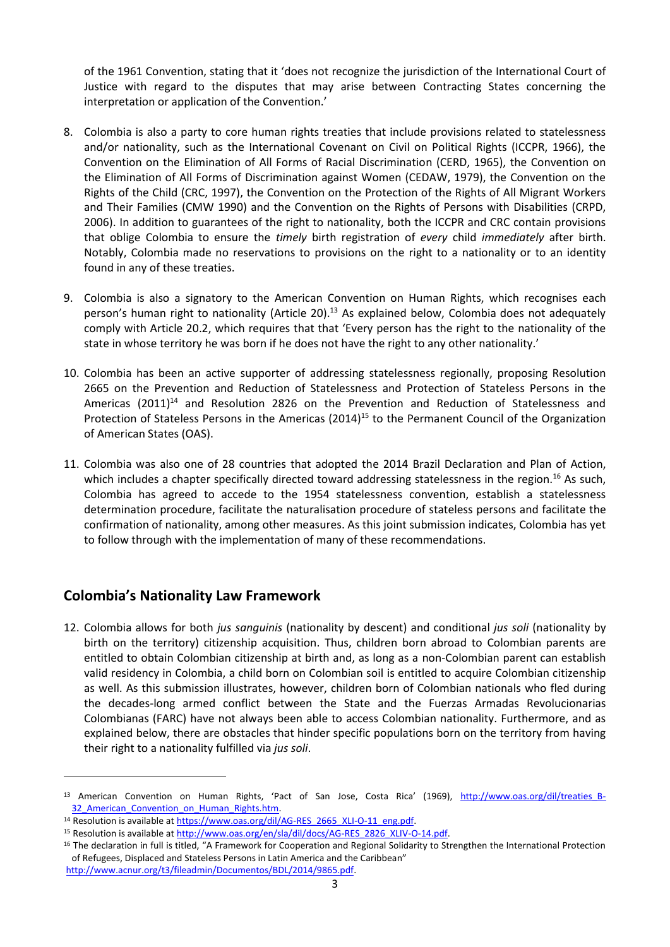of the 1961 Convention, stating that it 'does not recognize the jurisdiction of the International Court of Justice with regard to the disputes that may arise between Contracting States concerning the interpretation or application of the Convention.'

- 8. Colombia is also a party to core human rights treaties that include provisions related to statelessness and/or nationality, such as the International Covenant on Civil on Political Rights (ICCPR, 1966), the Convention on the Elimination of All Forms of Racial Discrimination (CERD, 1965), the Convention on the Elimination of All Forms of Discrimination against Women (CEDAW, 1979), the Convention on the Rights of the Child (CRC, 1997), the Convention on the Protection of the Rights of All Migrant Workers and Their Families (CMW 1990) and the Convention on the Rights of Persons with Disabilities (CRPD, 2006). In addition to guarantees of the right to nationality, both the ICCPR and CRC contain provisions that oblige Colombia to ensure the *timely* birth registration of *every* child *immediately* after birth. Notably, Colombia made no reservations to provisions on the right to a nationality or to an identity found in any of these treaties.
- 9. Colombia is also a signatory to the American Convention on Human Rights, which recognises each person's human right to nationality (Article 20).<sup>13</sup> As explained below, Colombia does not adequately comply with Article 20.2, which requires that that 'Every person has the right to the nationality of the state in whose territory he was born if he does not have the right to any other nationality.'
- 10. Colombia has been an active supporter of addressing statelessness regionally, proposing Resolution 2665 on the Prevention and Reduction of Statelessness and Protection of Stateless Persons in the Americas (2011)<sup>14</sup> and Resolution 2826 on the Prevention and Reduction of Statelessness and Protection of Stateless Persons in the Americas (2014)<sup>15</sup> to the Permanent Council of the Organization of American States (OAS).
- 11. Colombia was also one of 28 countries that adopted the 2014 Brazil Declaration and Plan of Action, which includes a chapter specifically directed toward addressing statelessness in the region.<sup>16</sup> As such, Colombia has agreed to accede to the 1954 statelessness convention, establish a statelessness determination procedure, facilitate the naturalisation procedure of stateless persons and facilitate the confirmation of nationality, among other measures. As this joint submission indicates, Colombia has yet to follow through with the implementation of many of these recommendations.

#### **Colombia's Nationality Law Framework**

1

12. Colombia allows for both *jus sanguinis* (nationality by descent) and conditional *jus soli* (nationality by birth on the territory) citizenship acquisition. Thus, children born abroad to Colombian parents are entitled to obtain Colombian citizenship at birth and, as long as a non-Colombian parent can establish valid residency in Colombia, a child born on Colombian soil is entitled to acquire Colombian citizenship as well. As this submission illustrates, however, children born of Colombian nationals who fled during the decades-long armed conflict between the State and the Fuerzas Armadas Revolucionarias Colombianas (FARC) have not always been able to access Colombian nationality. Furthermore, and as explained below, there are obstacles that hinder specific populations born on the territory from having their right to a nationality fulfilled via *jus soli*.

<sup>13</sup> American Convention on Human Rights, 'Pact of San Jose, Costa Rica' (1969), http://www.oas.org/dil/treaties B-32 American Convention on Human Rights.htm.

<sup>&</sup>lt;sup>14</sup> Resolution is available at [https://www.oas.org/dil/AG-RES\\_2665\\_XLI-O-11\\_eng.pdf.](https://www.oas.org/dil/AG-RES_2665_XLI-O-11_eng.pdf)

<sup>15</sup> Resolution is available at [http://www.oas.org/en/sla/dil/docs/AG-RES\\_2826\\_XLIV-O-14.pdf.](http://www.oas.org/en/sla/dil/docs/AG-RES_2826_XLIV-O-14.pdf)

<sup>&</sup>lt;sup>16</sup> The declaration in full is titled, "A Framework for Cooperation and Regional Solidarity to Strengthen the International Protection of Refugees, Displaced and Stateless Persons in Latin America and the Caribbean" [http://www.acnur.org/t3/fileadmin/Documentos/BDL/2014/9865.pdf.](http://www.acnur.org/t3/fileadmin/Documentos/BDL/2014/9865.pdf)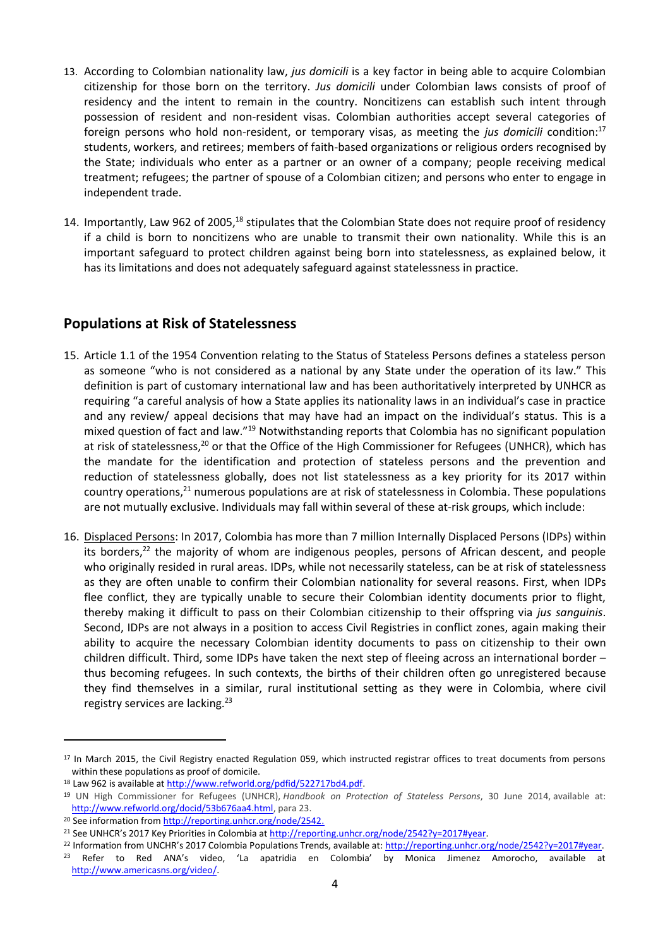- 13. According to Colombian nationality law, *jus domicili* is a key factor in being able to acquire Colombian citizenship for those born on the territory. *Jus domicili* under Colombian laws consists of proof of residency and the intent to remain in the country. Noncitizens can establish such intent through possession of resident and non-resident visas. Colombian authorities accept several categories of foreign persons who hold non-resident, or temporary visas, as meeting the *jus domicili* condition: 17 students, workers, and retirees; members of faith-based organizations or religious orders recognised by the State; individuals who enter as a partner or an owner of a company; people receiving medical treatment; refugees; the partner of spouse of a Colombian citizen; and persons who enter to engage in independent trade.
- 14. Importantly, Law 962 of 2005,<sup>18</sup> stipulates that the Colombian State does not require proof of residency if a child is born to noncitizens who are unable to transmit their own nationality. While this is an important safeguard to protect children against being born into statelessness, as explained below, it has its limitations and does not adequately safeguard against statelessness in practice.

#### **Populations at Risk of Statelessness**

- 15. Article 1.1 of the 1954 Convention relating to the Status of Stateless Persons defines a stateless person as someone "who is not considered as a national by any State under the operation of its law." This definition is part of customary international law and has been authoritatively interpreted by UNHCR as requiring "a careful analysis of how a State applies its nationality laws in an individual's case in practice and any review/ appeal decisions that may have had an impact on the individual's status. This is a mixed question of fact and law."<sup>19</sup> Notwithstanding reports that Colombia has no significant population at risk of statelessness,<sup>20</sup> or that the Office of the High Commissioner for Refugees (UNHCR), which has the mandate for the identification and protection of stateless persons and the prevention and reduction of statelessness globally, does not list statelessness as a key priority for its 2017 within country operations, $21$  numerous populations are at risk of statelessness in Colombia. These populations are not mutually exclusive. Individuals may fall within several of these at-risk groups, which include:
- 16. Displaced Persons: In 2017, Colombia has more than 7 million Internally Displaced Persons (IDPs) within its borders,<sup>22</sup> the majority of whom are indigenous peoples, persons of African descent, and people who originally resided in rural areas. IDPs, while not necessarily stateless, can be at risk of statelessness as they are often unable to confirm their Colombian nationality for several reasons. First, when IDPs flee conflict, they are typically unable to secure their Colombian identity documents prior to flight, thereby making it difficult to pass on their Colombian citizenship to their offspring via *jus sanguinis*. Second, IDPs are not always in a position to access Civil Registries in conflict zones, again making their ability to acquire the necessary Colombian identity documents to pass on citizenship to their own children difficult. Third, some IDPs have taken the next step of fleeing across an international border – thus becoming refugees. In such contexts, the births of their children often go unregistered because they find themselves in a similar, rural institutional setting as they were in Colombia, where civil registry services are lacking.<sup>23</sup>

<sup>17</sup> In March 2015, the Civil Registry enacted Regulation 059, which instructed registrar offices to treat documents from persons within these populations as proof of domicile.

<sup>18</sup> Law 962 is available at http://www.refworld.org/pdfid/522717bd4.pdf.

<sup>19</sup> UN High Commissioner for Refugees (UNHCR), *Handbook on Protection of Stateless Persons*, 30 June 2014, available at: [http://www.refworld.org/docid/53b676aa4.html,](http://www.refworld.org/docid/53b676aa4.html) para 23.

<sup>&</sup>lt;sup>20</sup> See information fro[m http://reporting.unhcr.org/node/2542.](http://reporting.unhcr.org/node/2542)

<sup>&</sup>lt;sup>21</sup> See UNHCR's 2017 Key Priorities in Colombia at [http://reporting.unhcr.org/node/2542?y=2017#year.](http://reporting.unhcr.org/node/2542?y=2017#year)

<sup>22</sup> Information from UNCHR's 2017 Colombia Populations Trends, available at: [http://reporting.unhcr.org/node/2542?y=2017#year.](http://reporting.unhcr.org/node/2542?y=2017#year) <sup>23</sup> Refer to Red ANA's video, 'La apatridia en Colombia' by Monica Jimenez Amorocho, available at [http://www.americasns.org/video/.](http://www.americasns.org/video/)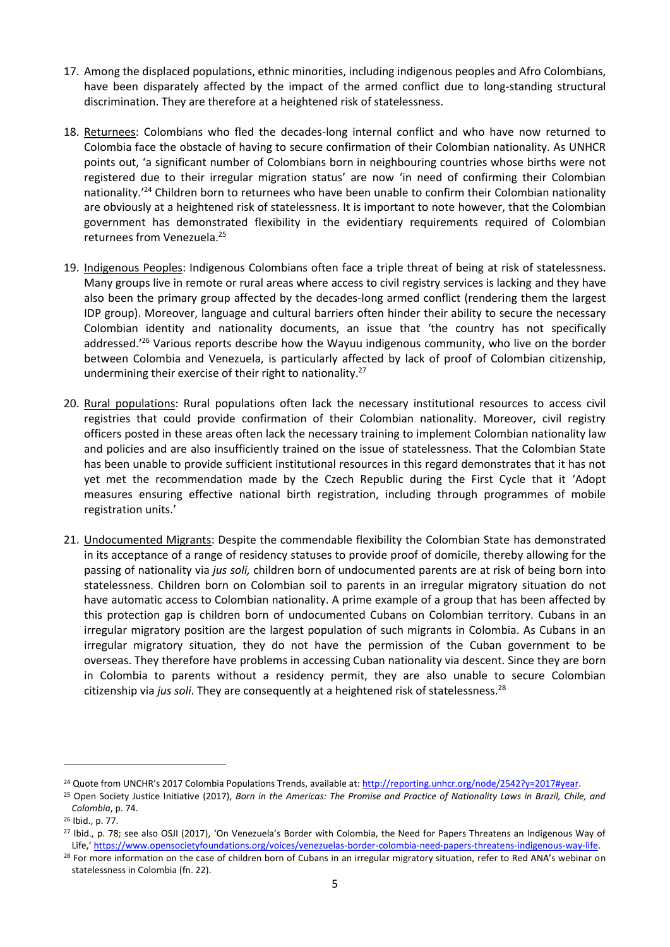- 17. Among the displaced populations, ethnic minorities, including indigenous peoples and Afro Colombians, have been disparately affected by the impact of the armed conflict due to long-standing structural discrimination. They are therefore at a heightened risk of statelessness.
- 18. Returnees: Colombians who fled the decades-long internal conflict and who have now returned to Colombia face the obstacle of having to secure confirmation of their Colombian nationality. As UNHCR points out, 'a significant number of Colombians born in neighbouring countries whose births were not registered due to their irregular migration status' are now 'in need of confirming their Colombian nationality.<sup>'24</sup> Children born to returnees who have been unable to confirm their Colombian nationality are obviously at a heightened risk of statelessness. It is important to note however, that the Colombian government has demonstrated flexibility in the evidentiary requirements required of Colombian returnees from Venezuela.<sup>25</sup>
- 19. Indigenous Peoples: Indigenous Colombians often face a triple threat of being at risk of statelessness. Many groups live in remote or rural areas where access to civil registry services is lacking and they have also been the primary group affected by the decades-long armed conflict (rendering them the largest IDP group). Moreover, language and cultural barriers often hinder their ability to secure the necessary Colombian identity and nationality documents, an issue that 'the country has not specifically addressed.'<sup>26</sup> Various reports describe how the Wayuu indigenous community, who live on the border between Colombia and Venezuela, is particularly affected by lack of proof of Colombian citizenship, undermining their exercise of their right to nationality. 27
- 20. Rural populations: Rural populations often lack the necessary institutional resources to access civil registries that could provide confirmation of their Colombian nationality. Moreover, civil registry officers posted in these areas often lack the necessary training to implement Colombian nationality law and policies and are also insufficiently trained on the issue of statelessness. That the Colombian State has been unable to provide sufficient institutional resources in this regard demonstrates that it has not yet met the recommendation made by the Czech Republic during the First Cycle that it 'Adopt measures ensuring effective national birth registration, including through programmes of mobile registration units.'
- 21. Undocumented Migrants: Despite the commendable flexibility the Colombian State has demonstrated in its acceptance of a range of residency statuses to provide proof of domicile, thereby allowing for the passing of nationality via *jus soli,* children born of undocumented parents are at risk of being born into statelessness. Children born on Colombian soil to parents in an irregular migratory situation do not have automatic access to Colombian nationality. A prime example of a group that has been affected by this protection gap is children born of undocumented Cubans on Colombian territory. Cubans in an irregular migratory position are the largest population of such migrants in Colombia. As Cubans in an irregular migratory situation, they do not have the permission of the Cuban government to be overseas. They therefore have problems in accessing Cuban nationality via descent. Since they are born in Colombia to parents without a residency permit, they are also unable to secure Colombian citizenship via *jus soli*. They are consequently at a heightened risk of statelessness.<sup>28</sup>

<sup>&</sup>lt;sup>24</sup> Quote from UNCHR's 2017 Colombia Populations Trends, available at: [http://reporting.unhcr.org/node/2542?y=2017#year.](http://reporting.unhcr.org/node/2542?y=2017#year)

<sup>25</sup> Open Society Justice Initiative (2017), *Born in the Americas: The Promise and Practice of Nationality Laws in Brazil, Chile, and Colombia*, p. 74.

<sup>26</sup> Ibid., p. 77.

<sup>27</sup> Ibid., p. 78; see also OSJI (2017), 'On Venezuela's Border with Colombia, the Need for Papers Threatens an Indigenous Way of Life,' [https://www.opensocietyfoundations.org/voices/venezuelas-border-colombia-need-papers-threatens-indigenous-way-life.](https://www.opensocietyfoundations.org/voices/venezuelas-border-colombia-need-papers-threatens-indigenous-way-life)

<sup>&</sup>lt;sup>28</sup> For more information on the case of children born of Cubans in an irregular migratory situation, refer to Red ANA's webinar on statelessness in Colombia (fn. 22).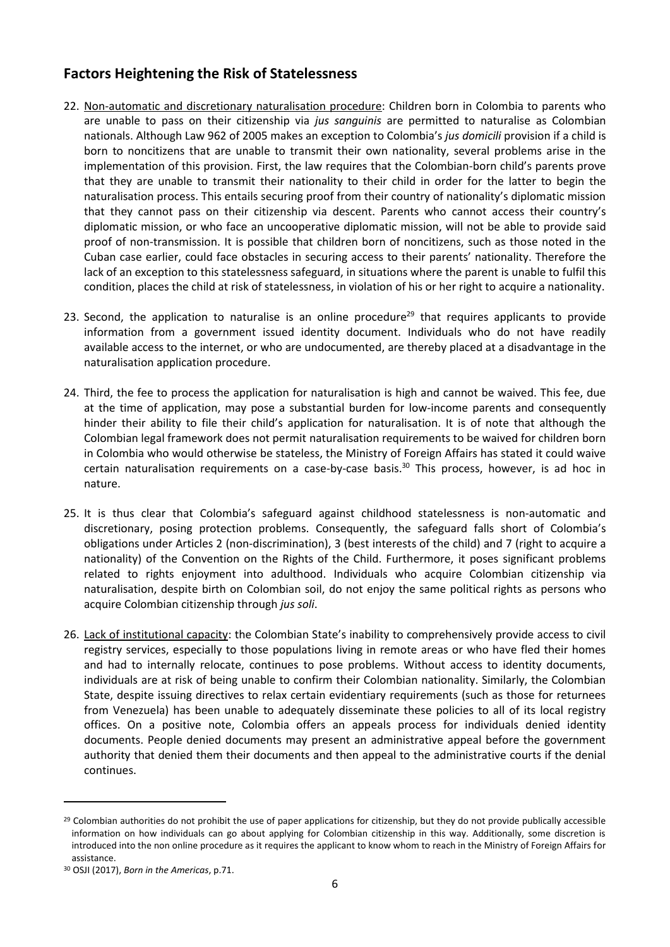#### **Factors Heightening the Risk of Statelessness**

- 22. Non-automatic and discretionary naturalisation procedure: Children born in Colombia to parents who are unable to pass on their citizenship via *jus sanguinis* are permitted to naturalise as Colombian nationals. Although Law 962 of 2005 makes an exception to Colombia's *jus domicili* provision if a child is born to noncitizens that are unable to transmit their own nationality, several problems arise in the implementation of this provision. First, the law requires that the Colombian-born child's parents prove that they are unable to transmit their nationality to their child in order for the latter to begin the naturalisation process. This entails securing proof from their country of nationality's diplomatic mission that they cannot pass on their citizenship via descent. Parents who cannot access their country's diplomatic mission, or who face an uncooperative diplomatic mission, will not be able to provide said proof of non-transmission. It is possible that children born of noncitizens, such as those noted in the Cuban case earlier, could face obstacles in securing access to their parents' nationality. Therefore the lack of an exception to this statelessness safeguard, in situations where the parent is unable to fulfil this condition, places the child at risk of statelessness, in violation of his or her right to acquire a nationality.
- 23. Second, the application to naturalise is an online procedure<sup>29</sup> that requires applicants to provide information from a government issued identity document. Individuals who do not have readily available access to the internet, or who are undocumented, are thereby placed at a disadvantage in the naturalisation application procedure.
- 24. Third, the fee to process the application for naturalisation is high and cannot be waived. This fee, due at the time of application, may pose a substantial burden for low-income parents and consequently hinder their ability to file their child's application for naturalisation. It is of note that although the Colombian legal framework does not permit naturalisation requirements to be waived for children born in Colombia who would otherwise be stateless, the Ministry of Foreign Affairs has stated it could waive certain naturalisation requirements on a case-by-case basis.<sup>30</sup> This process, however, is ad hoc in nature.
- 25. It is thus clear that Colombia's safeguard against childhood statelessness is non-automatic and discretionary, posing protection problems. Consequently, the safeguard falls short of Colombia's obligations under Articles 2 (non-discrimination), 3 (best interests of the child) and 7 (right to acquire a nationality) of the Convention on the Rights of the Child. Furthermore, it poses significant problems related to rights enjoyment into adulthood. Individuals who acquire Colombian citizenship via naturalisation, despite birth on Colombian soil, do not enjoy the same political rights as persons who acquire Colombian citizenship through *jus soli*.
- 26. Lack of institutional capacity: the Colombian State's inability to comprehensively provide access to civil registry services, especially to those populations living in remote areas or who have fled their homes and had to internally relocate, continues to pose problems. Without access to identity documents, individuals are at risk of being unable to confirm their Colombian nationality. Similarly, the Colombian State, despite issuing directives to relax certain evidentiary requirements (such as those for returnees from Venezuela) has been unable to adequately disseminate these policies to all of its local registry offices. On a positive note, Colombia offers an appeals process for individuals denied identity documents. People denied documents may present an administrative appeal before the government authority that denied them their documents and then appeal to the administrative courts if the denial continues.

**.** 

<sup>&</sup>lt;sup>29</sup> Colombian authorities do not prohibit the use of paper applications for citizenship, but they do not provide publically accessible information on how individuals can go about applying for Colombian citizenship in this way. Additionally, some discretion is introduced into the non online procedure as it requires the applicant to know whom to reach in the Ministry of Foreign Affairs for assistance.

<sup>30</sup> OSJI (2017), *Born in the Americas*, p.71.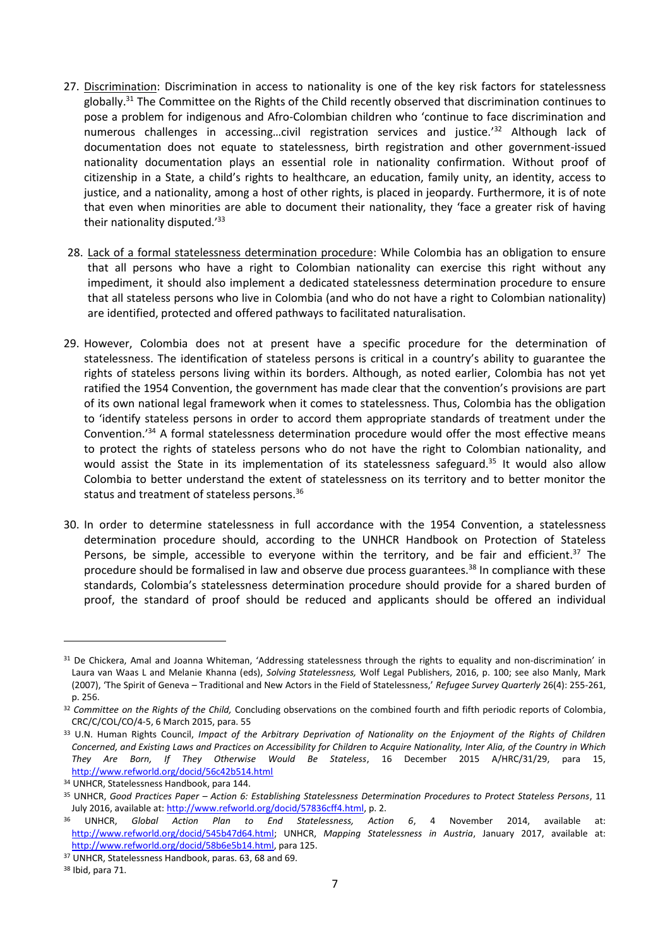- 27. Discrimination: Discrimination in access to nationality is one of the key risk factors for statelessness globally.<sup>31</sup> The Committee on the Rights of the Child recently observed that discrimination continues to pose a problem for indigenous and Afro-Colombian children who 'continue to face discrimination and numerous challenges in accessing...civil registration services and justice.<sup>'32</sup> Although lack of documentation does not equate to statelessness, birth registration and other government-issued nationality documentation plays an essential role in nationality confirmation. Without proof of citizenship in a State, a child's rights to healthcare, an education, family unity, an identity, access to justice, and a nationality, among a host of other rights, is placed in jeopardy. Furthermore, it is of note that even when minorities are able to document their nationality, they 'face a greater risk of having their nationality disputed.'<sup>33</sup>
- 28. Lack of a formal statelessness determination procedure: While Colombia has an obligation to ensure that all persons who have a right to Colombian nationality can exercise this right without any impediment, it should also implement a dedicated statelessness determination procedure to ensure that all stateless persons who live in Colombia (and who do not have a right to Colombian nationality) are identified, protected and offered pathways to facilitated naturalisation.
- 29. However, Colombia does not at present have a specific procedure for the determination of statelessness. The identification of stateless persons is critical in a country's ability to guarantee the rights of stateless persons living within its borders. Although, as noted earlier, Colombia has not yet ratified the 1954 Convention, the government has made clear that the convention's provisions are part of its own national legal framework when it comes to statelessness. Thus, Colombia has the obligation to 'identify stateless persons in order to accord them appropriate standards of treatment under the Convention.'<sup>34</sup> A formal statelessness determination procedure would offer the most effective means to protect the rights of stateless persons who do not have the right to Colombian nationality, and would assist the State in its implementation of its statelessness safeguard.<sup>35</sup> It would also allow Colombia to better understand the extent of statelessness on its territory and to better monitor the status and treatment of stateless persons.<sup>36</sup>
- 30. In order to determine statelessness in full accordance with the 1954 Convention, a statelessness determination procedure should, according to the UNHCR Handbook on Protection of Stateless Persons, be simple, accessible to everyone within the territory, and be fair and efficient.<sup>37</sup> The procedure should be formalised in law and observe due process guarantees.<sup>38</sup> In compliance with these standards, Colombia's statelessness determination procedure should provide for a shared burden of proof, the standard of proof should be reduced and applicants should be offered an individual

<sup>&</sup>lt;sup>31</sup> De Chickera, Amal and Joanna Whiteman, 'Addressing statelessness through the rights to equality and non-discrimination' in Laura van Waas L and Melanie Khanna (eds), *Solving Statelessness,* Wolf Legal Publishers, 2016, p. 100; see also Manly, Mark (2007), 'The Spirit of Geneva – Traditional and New Actors in the Field of Statelessness,' *Refugee Survey Quarterly* 26(4): 255-261, p. 256.

<sup>32</sup> *Committee on the Rights of the Child,* Concluding observations on the combined fourth and fifth periodic reports of Colombia, CRC/C/COL/CO/4-5, 6 March 2015, para. 55

<sup>33</sup> U.N. Human Rights Council, *Impact of the Arbitrary Deprivation of Nationality on the Enjoyment of the Rights of Children Concerned, and Existing Laws and Practices on Accessibility for Children to Acquire Nationality, Inter Alia, of the Country in Which They Are Born, If They Otherwise Would Be Stateless*, 16 December 2015 A/HRC/31/29, para 15, <http://www.refworld.org/docid/56c42b514.html>

<sup>34</sup> UNHCR, Statelessness Handbook, para 144.

<sup>35</sup> UNHCR, *Good Practices Paper – Action 6: Establishing Statelessness Determination Procedures to Protect Stateless Persons*, 11 July 2016, available at[: http://www.refworld.org/docid/57836cff4.html,](http://www.refworld.org/docid/57836cff4.html) p. 2.

<sup>36</sup> UNHCR, *Global Action Plan to End Statelessness, Action 6*, 4 November 2014, available at: [http://www.refworld.org/docid/545b47d64.html;](http://www.refworld.org/docid/545b47d64.html) UNHCR, *Mapping Statelessness in Austria*, January 2017, available at: [http://www.refworld.org/docid/58b6e5b14.html,](http://www.refworld.org/docid/58b6e5b14.html) para 125.

<sup>37</sup> UNHCR, Statelessness Handbook, paras. 63, 68 and 69.

<sup>38</sup> Ibid, para 71.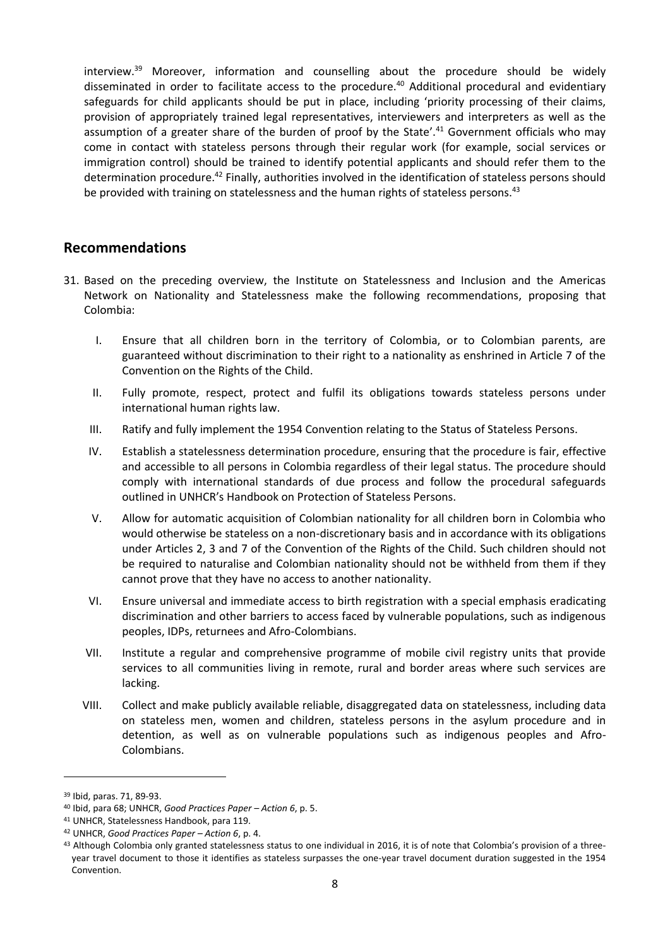interview.<sup>39</sup> Moreover, information and counselling about the procedure should be widely disseminated in order to facilitate access to the procedure.<sup>40</sup> Additional procedural and evidentiary safeguards for child applicants should be put in place, including 'priority processing of their claims, provision of appropriately trained legal representatives, interviewers and interpreters as well as the assumption of a greater share of the burden of proof by the State'.<sup>41</sup> Government officials who may come in contact with stateless persons through their regular work (for example, social services or immigration control) should be trained to identify potential applicants and should refer them to the determination procedure.<sup>42</sup> Finally, authorities involved in the identification of stateless persons should be provided with training on statelessness and the human rights of stateless persons.<sup>43</sup>

#### **Recommendations**

- 31. Based on the preceding overview, the Institute on Statelessness and Inclusion and the Americas Network on Nationality and Statelessness make the following recommendations, proposing that Colombia:
	- I. Ensure that all children born in the territory of Colombia, or to Colombian parents, are guaranteed without discrimination to their right to a nationality as enshrined in Article 7 of the Convention on the Rights of the Child.
	- II. Fully promote, respect, protect and fulfil its obligations towards stateless persons under international human rights law.
	- III. Ratify and fully implement the 1954 Convention relating to the Status of Stateless Persons.
	- IV. Establish a statelessness determination procedure, ensuring that the procedure is fair, effective and accessible to all persons in Colombia regardless of their legal status. The procedure should comply with international standards of due process and follow the procedural safeguards outlined in UNHCR's Handbook on Protection of Stateless Persons.
	- V. Allow for automatic acquisition of Colombian nationality for all children born in Colombia who would otherwise be stateless on a non-discretionary basis and in accordance with its obligations under Articles 2, 3 and 7 of the Convention of the Rights of the Child. Such children should not be required to naturalise and Colombian nationality should not be withheld from them if they cannot prove that they have no access to another nationality.
	- VI. Ensure universal and immediate access to birth registration with a special emphasis eradicating discrimination and other barriers to access faced by vulnerable populations, such as indigenous peoples, IDPs, returnees and Afro-Colombians.
	- VII. Institute a regular and comprehensive programme of mobile civil registry units that provide services to all communities living in remote, rural and border areas where such services are lacking.
	- VIII. Collect and make publicly available reliable, disaggregated data on statelessness, including data on stateless men, women and children, stateless persons in the asylum procedure and in detention, as well as on vulnerable populations such as indigenous peoples and Afro-Colombians.

<sup>39</sup> Ibid, paras. 71, 89-93.

<sup>40</sup> Ibid, para 68; UNHCR, *Good Practices Paper – Action 6*, p. 5.

<sup>41</sup> UNHCR, Statelessness Handbook, para 119.

<sup>42</sup> UNHCR, *Good Practices Paper – Action 6*, p. 4.

<sup>43</sup> Although Colombia only granted statelessness status to one individual in 2016, it is of note that Colombia's provision of a threeyear travel document to those it identifies as stateless surpasses the one-year travel document duration suggested in the 1954 Convention.